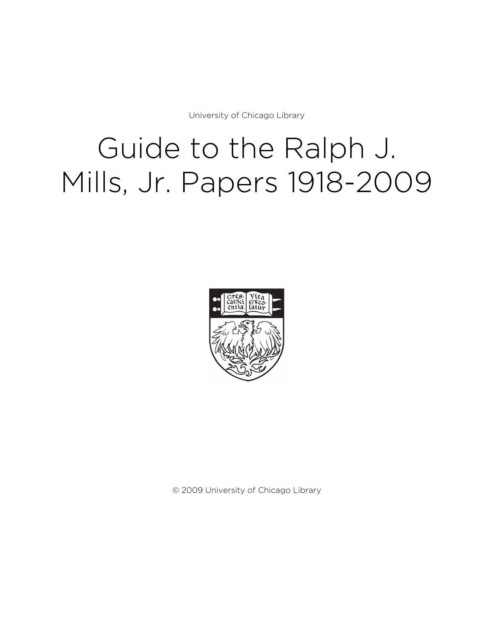University of Chicago Library

# Guide to the Ralph J. Mills, Jr. Papers 1918-2009



© 2009 University of Chicago Library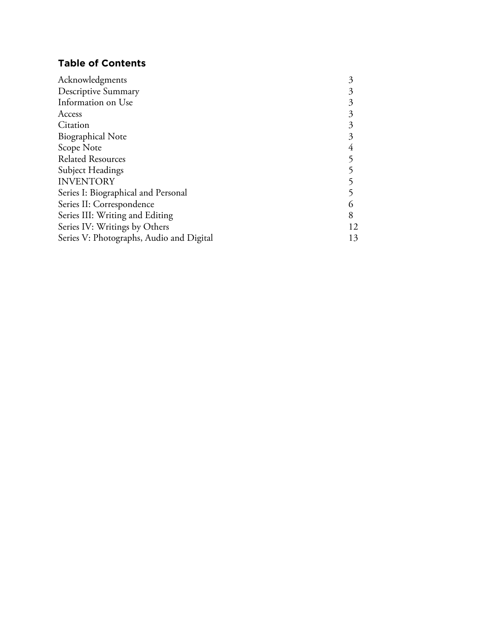# **Table of Contents**

| Acknowledgments                          |    |
|------------------------------------------|----|
| <b>Descriptive Summary</b>               |    |
| Information on Use                       |    |
| Access                                   |    |
| Citation                                 | 3  |
| <b>Biographical Note</b>                 | 3  |
| Scope Note                               |    |
| <b>Related Resources</b>                 |    |
| Subject Headings                         |    |
| <b>INVENTORY</b>                         |    |
| Series I: Biographical and Personal      |    |
| Series II: Correspondence                |    |
| Series III: Writing and Editing          | 8  |
| Series IV: Writings by Others            | 12 |
| Series V: Photographs, Audio and Digital | 13 |
|                                          |    |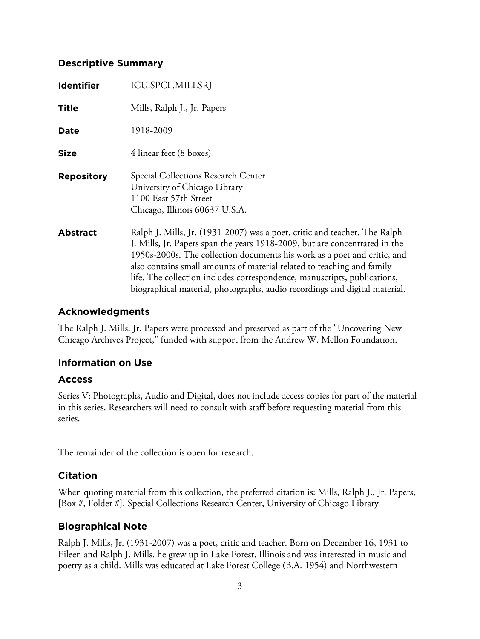# **Descriptive Summary**

| <b>Identifier</b> | <b>ICU.SPCL.MILLSRJ</b>                                                                                                                                                                                                                                                                                                                                                                                                                                                 |
|-------------------|-------------------------------------------------------------------------------------------------------------------------------------------------------------------------------------------------------------------------------------------------------------------------------------------------------------------------------------------------------------------------------------------------------------------------------------------------------------------------|
| <b>Title</b>      | Mills, Ralph J., Jr. Papers                                                                                                                                                                                                                                                                                                                                                                                                                                             |
| Date              | 1918-2009                                                                                                                                                                                                                                                                                                                                                                                                                                                               |
| <b>Size</b>       | 4 linear feet (8 boxes)                                                                                                                                                                                                                                                                                                                                                                                                                                                 |
| <b>Repository</b> | Special Collections Research Center<br>University of Chicago Library<br>1100 East 57th Street<br>Chicago, Illinois 60637 U.S.A.                                                                                                                                                                                                                                                                                                                                         |
| <b>Abstract</b>   | Ralph J. Mills, Jr. (1931-2007) was a poet, critic and teacher. The Ralph<br>J. Mills, Jr. Papers span the years 1918-2009, but are concentrated in the<br>1950s-2000s. The collection documents his work as a poet and critic, and<br>also contains small amounts of material related to teaching and family<br>life. The collection includes correspondence, manuscripts, publications,<br>biographical material, photographs, audio recordings and digital material. |

# **Acknowledgments**

The Ralph J. Mills, Jr. Papers were processed and preserved as part of the "Uncovering New Chicago Archives Project," funded with support from the Andrew W. Mellon Foundation.

# **Information on Use**

# **Access**

Series V: Photographs, Audio and Digital, does not include access copies for part of the material in this series. Researchers will need to consult with staff before requesting material from this series.

The remainder of the collection is open for research.

# **Citation**

When quoting material from this collection, the preferred citation is: Mills, Ralph J., Jr. Papers, [Box #, Folder #], Special Collections Research Center, University of Chicago Library

# **Biographical Note**

Ralph J. Mills, Jr. (1931-2007) was a poet, critic and teacher. Born on December 16, 1931 to Eileen and Ralph J. Mills, he grew up in Lake Forest, Illinois and was interested in music and poetry as a child. Mills was educated at Lake Forest College (B.A. 1954) and Northwestern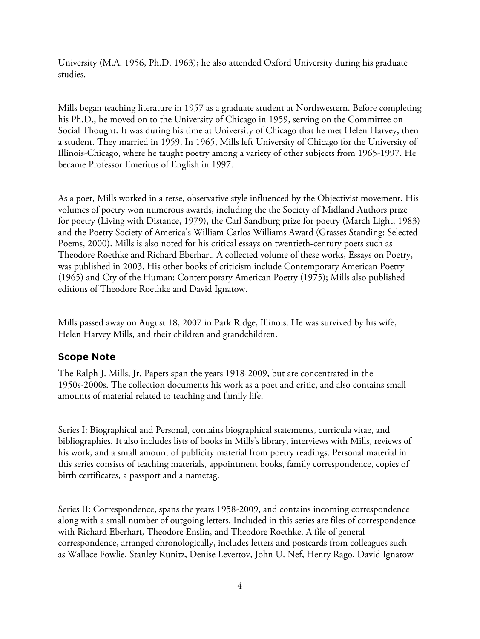University (M.A. 1956, Ph.D. 1963); he also attended Oxford University during his graduate studies.

Mills began teaching literature in 1957 as a graduate student at Northwestern. Before completing his Ph.D., he moved on to the University of Chicago in 1959, serving on the Committee on Social Thought. It was during his time at University of Chicago that he met Helen Harvey, then a student. They married in 1959. In 1965, Mills left University of Chicago for the University of Illinois-Chicago, where he taught poetry among a variety of other subjects from 1965-1997. He became Professor Emeritus of English in 1997.

As a poet, Mills worked in a terse, observative style influenced by the Objectivist movement. His volumes of poetry won numerous awards, including the the Society of Midland Authors prize for poetry (Living with Distance, 1979), the Carl Sandburg prize for poetry (March Light, 1983) and the Poetry Society of America's William Carlos Williams Award (Grasses Standing: Selected Poems, 2000). Mills is also noted for his critical essays on twentieth-century poets such as Theodore Roethke and Richard Eberhart. A collected volume of these works, Essays on Poetry, was published in 2003. His other books of criticism include Contemporary American Poetry (1965) and Cry of the Human: Contemporary American Poetry (1975); Mills also published editions of Theodore Roethke and David Ignatow.

Mills passed away on August 18, 2007 in Park Ridge, Illinois. He was survived by his wife, Helen Harvey Mills, and their children and grandchildren.

# **Scope Note**

The Ralph J. Mills, Jr. Papers span the years 1918-2009, but are concentrated in the 1950s-2000s. The collection documents his work as a poet and critic, and also contains small amounts of material related to teaching and family life.

Series I: Biographical and Personal, contains biographical statements, curricula vitae, and bibliographies. It also includes lists of books in Mills's library, interviews with Mills, reviews of his work, and a small amount of publicity material from poetry readings. Personal material in this series consists of teaching materials, appointment books, family correspondence, copies of birth certificates, a passport and a nametag.

Series II: Correspondence, spans the years 1958-2009, and contains incoming correspondence along with a small number of outgoing letters. Included in this series are files of correspondence with Richard Eberhart, Theodore Enslin, and Theodore Roethke. A file of general correspondence, arranged chronologically, includes letters and postcards from colleagues such as Wallace Fowlie, Stanley Kunitz, Denise Levertov, John U. Nef, Henry Rago, David Ignatow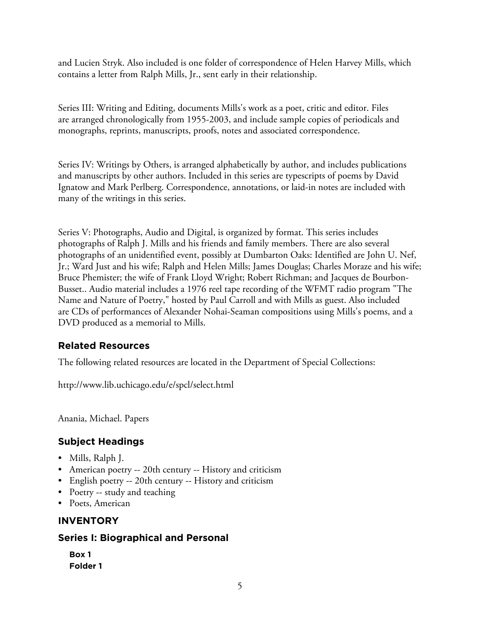and Lucien Stryk. Also included is one folder of correspondence of Helen Harvey Mills, which contains a letter from Ralph Mills, Jr., sent early in their relationship.

Series III: Writing and Editing, documents Mills's work as a poet, critic and editor. Files are arranged chronologically from 1955-2003, and include sample copies of periodicals and monographs, reprints, manuscripts, proofs, notes and associated correspondence.

Series IV: Writings by Others, is arranged alphabetically by author, and includes publications and manuscripts by other authors. Included in this series are typescripts of poems by David Ignatow and Mark Perlberg. Correspondence, annotations, or laid-in notes are included with many of the writings in this series.

Series V: Photographs, Audio and Digital, is organized by format. This series includes photographs of Ralph J. Mills and his friends and family members. There are also several photographs of an unidentified event, possibly at Dumbarton Oaks: Identified are John U. Nef, Jr.; Ward Just and his wife; Ralph and Helen Mills; James Douglas; Charles Moraze and his wife; Bruce Phemister; the wife of Frank Lloyd Wright; Robert Richman; and Jacques de Bourbon-Busset.. Audio material includes a 1976 reel tape recording of the WFMT radio program "The Name and Nature of Poetry," hosted by Paul Carroll and with Mills as guest. Also included are CDs of performances of Alexander Nohai-Seaman compositions using Mills's poems, and a DVD produced as a memorial to Mills.

# **Related Resources**

The following related resources are located in the Department of Special Collections:

http://www.lib.uchicago.edu/e/spcl/select.html

Anania, Michael. Papers

# **Subject Headings**

- Mills, Ralph J.
- American poetry -- 20th century -- History and criticism
- English poetry -- 20th century -- History and criticism
- Poetry -- study and teaching
- Poets, American

# **INVENTORY**

# **Series I: Biographical and Personal**

**Box 1 Folder 1**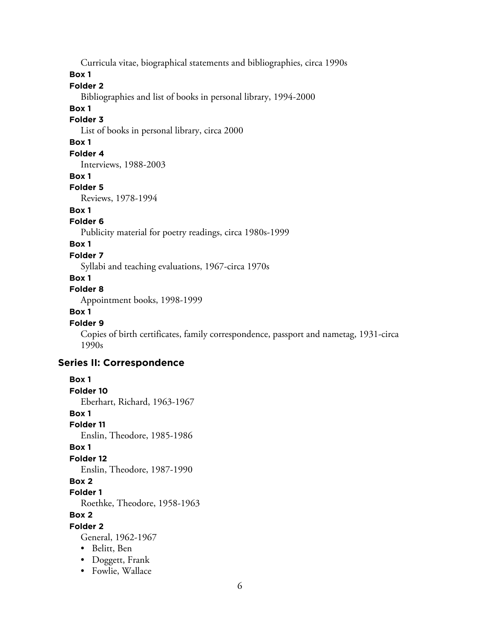Curricula vitae, biographical statements and bibliographies, circa 1990s

**Box 1**

# **Folder 2**

Bibliographies and list of books in personal library, 1994-2000

#### **Box 1**

#### **Folder 3**

List of books in personal library, circa 2000

# **Box 1**

# **Folder 4**

Interviews, 1988-2003

## **Box 1**

#### **Folder 5**

Reviews, 1978-1994

# **Box 1**

# **Folder 6**

Publicity material for poetry readings, circa 1980s-1999

# **Box 1**

## **Folder 7**

Syllabi and teaching evaluations, 1967-circa 1970s

## **Box 1**

# **Folder 8**

Appointment books, 1998-1999

# **Box 1**

## **Folder 9**

Copies of birth certificates, family correspondence, passport and nametag, 1931-circa 1990s

# **Series II: Correspondence**

```
Box 1
Folder 10
  Eberhart, Richard, 1963-1967
Box 1
Folder 11
  Enslin, Theodore, 1985-1986
Box 1
Folder 12
  Enslin, Theodore, 1987-1990
Box 2
Folder 1
  Roethke, Theodore, 1958-1963
Box 2
Folder 2
  General, 1962-1967
  • Belitt, Ben
  • Doggett, Frank
  • Fowlie, Wallace
```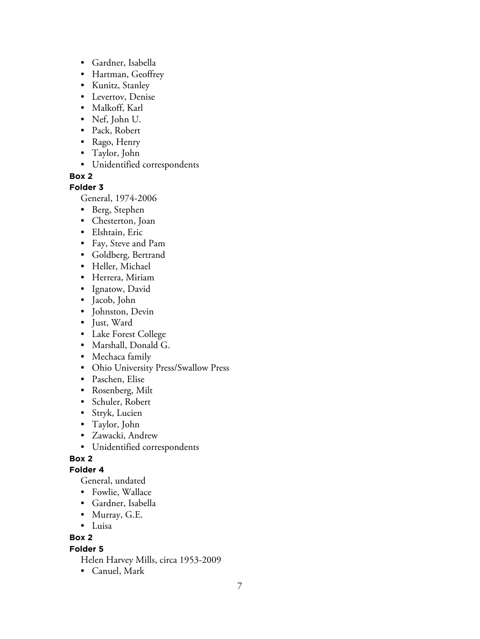- Gardner, Isabella
- Hartman, Geoffrey
- Kunitz, Stanley
- Levertov, Denise
- Malkoff, Karl
- Nef, John U.
- Pack, Robert
- Rago, Henry
- Taylor, John
- Unidentified correspondents

# **Box 2**

# **Folder 3**

General, 1974-2006

- Berg, Stephen
- Chesterton, Joan
- Elshtain, Eric
- Fay, Steve and Pam
- Goldberg, Bertrand
- Heller, Michael
- Herrera, Miriam
- Ignatow, David
- Jacob, John
- Johnston, Devin
- Just, Ward
- Lake Forest College
- Marshall, Donald G.
- Mechaca family
- Ohio University Press/Swallow Press
- Paschen, Elise
- Rosenberg, Milt
- Schuler, Robert
- Stryk, Lucien
- Taylor, John
- Zawacki, Andrew
- Unidentified correspondents

# **Box 2**

# **Folder 4**

General, undated

- Fowlie, Wallace
- Gardner, Isabella
- Murray, G.E.
- Luisa

# **Box 2**

# **Folder 5**

Helen Harvey Mills, circa 1953-2009

• Canuel, Mark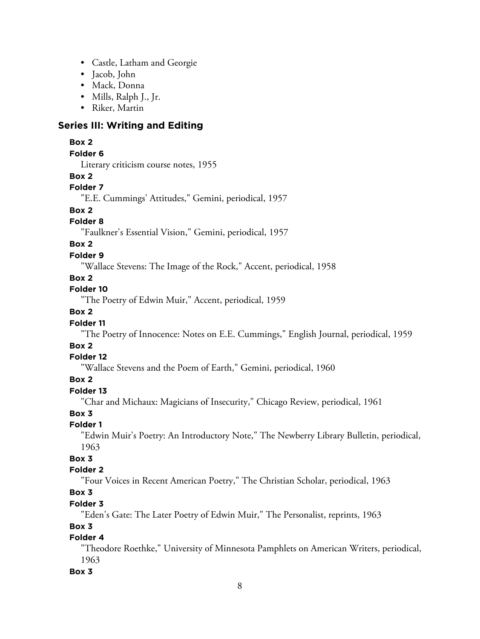- Castle, Latham and Georgie
- Jacob, John
- Mack, Donna
- Mills, Ralph J., Jr.
- Riker, Martin

# **Series III: Writing and Editing**

#### **Box 2**

#### **Folder 6**

Literary criticism course notes, 1955

#### **Box 2**

## **Folder 7**

"E.E. Cummings' Attitudes," Gemini, periodical, 1957

# **Box 2**

# **Folder 8**

"Faulkner's Essential Vision," Gemini, periodical, 1957

## **Box 2**

#### **Folder 9**

"Wallace Stevens: The Image of the Rock," Accent, periodical, 1958

#### **Box 2**

# **Folder 10**

"The Poetry of Edwin Muir," Accent, periodical, 1959

# **Box 2**

## **Folder 11**

"The Poetry of Innocence: Notes on E.E. Cummings," English Journal, periodical, 1959

# **Box 2**

## **Folder 12**

"Wallace Stevens and the Poem of Earth," Gemini, periodical, 1960

## **Box 2**

# **Folder 13**

"Char and Michaux: Magicians of Insecurity," Chicago Review, periodical, 1961

# **Box 3**

#### **Folder 1**

"Edwin Muir's Poetry: An Introductory Note," The Newberry Library Bulletin, periodical, 1963

# **Box 3**

## **Folder 2**

"Four Voices in Recent American Poetry," The Christian Scholar, periodical, 1963

# **Box 3**

# **Folder 3**

"Eden's Gate: The Later Poetry of Edwin Muir," The Personalist, reprints, 1963

## **Box 3**

# **Folder 4**

"Theodore Roethke," University of Minnesota Pamphlets on American Writers, periodical, 1963

# **Box 3**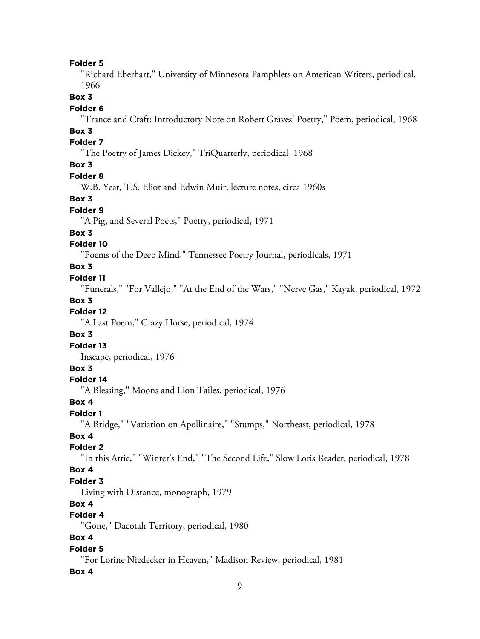#### **Folder 5**

"Richard Eberhart," University of Minnesota Pamphlets on American Writers, periodical, 1966

# **Box 3**

#### **Folder 6**

"Trance and Craft: Introductory Note on Robert Graves' Poetry," Poem, periodical, 1968

# **Box 3**

# **Folder 7**

"The Poetry of James Dickey," TriQuarterly, periodical, 1968

# **Box 3**

## **Folder 8**

W.B. Yeat, T.S. Eliot and Edwin Muir, lecture notes, circa 1960s

## **Box 3**

# **Folder 9**

"A Pig, and Several Poets," Poetry, periodical, 1971

## **Box 3**

# **Folder 10**

"Poems of the Deep Mind," Tennessee Poetry Journal, periodicals, 1971

# **Box 3**

#### **Folder 11**

"Funerals," "For Vallejo," "At the End of the Wars," "Nerve Gas," Kayak, periodical, 1972

#### **Box 3**

# **Folder 12**

"A Last Poem," Crazy Horse, periodical, 1974

### **Box 3**

#### **Folder 13**

Inscape, periodical, 1976

## **Box 3**

#### **Folder 14**

"A Blessing," Moons and Lion Tailes, periodical, 1976

# **Box 4**

# **Folder 1**

"A Bridge," "Variation on Apollinaire," "Stumps," Northeast, periodical, 1978

## **Box 4**

## **Folder 2**

"In this Attic," "Winter's End," "The Second Life," Slow Loris Reader, periodical, 1978

## **Box 4**

## **Folder 3**

Living with Distance, monograph, 1979

# **Box 4**

# **Folder 4**

"Gone," Dacotah Territory, periodical, 1980

# **Box 4**

#### **Folder 5**

"For Lorine Niedecker in Heaven," Madison Review, periodical, 1981

#### **Box 4**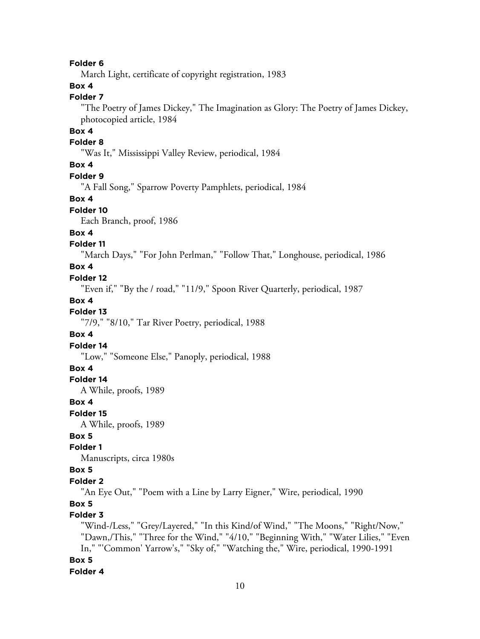#### **Folder 6**

March Light, certificate of copyright registration, 1983

# **Box 4**

# **Folder 7**

"The Poetry of James Dickey," The Imagination as Glory: The Poetry of James Dickey, photocopied article, 1984

# **Box 4**

#### **Folder 8**

"Was It," Mississippi Valley Review, periodical, 1984

## **Box 4**

# **Folder 9**

"A Fall Song," Sparrow Poverty Pamphlets, periodical, 1984

#### **Box 4**

#### **Folder 10**

Each Branch, proof, 1986

## **Box 4**

## **Folder 11**

"March Days," "For John Perlman," "Follow That," Longhouse, periodical, 1986

## **Box 4**

## **Folder 12**

"Even if," "By the / road," "11/9," Spoon River Quarterly, periodical, 1987

#### **Box 4**

#### **Folder 13**

"7/9," "8/10," Tar River Poetry, periodical, 1988

#### **Box 4**

#### **Folder 14**

"Low," "Someone Else," Panoply, periodical, 1988

# **Box 4**

# **Folder 14**

A While, proofs, 1989

## **Box 4**

**Folder 15**

A While, proofs, 1989

# **Box 5**

# **Folder 1**

Manuscripts, circa 1980s

# **Box 5**

#### **Folder 2**

"An Eye Out," "Poem with a Line by Larry Eigner," Wire, periodical, 1990

## **Box 5**

# **Folder 3**

"Wind-/Less," "Grey/Layered," "In this Kind/of Wind," "The Moons," "Right/Now," "Dawn,/This," "Three for the Wind," "4/10," "Beginning With," "Water Lilies," "Even In," "'Common' Yarrow's," "Sky of," "Watching the," Wire, periodical, 1990-1991 **Box 5 Folder 4**

#### 10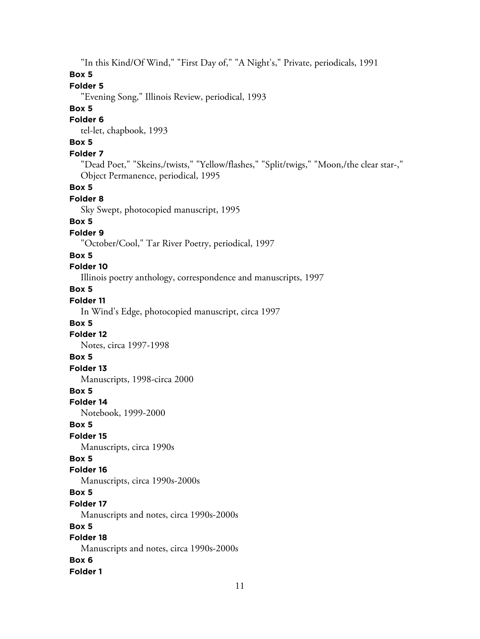"In this Kind/Of Wind," "First Day of," "A Night's," Private, periodicals, 1991

# **Box 5**

# **Folder 5**

"Evening Song," Illinois Review, periodical, 1993

# **Box 5**

# **Folder 6**

tel-let, chapbook, 1993

# **Box 5**

# **Folder 7**

"Dead Poet," "Skeins,/twists," "Yellow/flashes," "Split/twigs," "Moon,/the clear star-," Object Permanence, periodical, 1995

#### **Box 5**

#### **Folder 8**

Sky Swept, photocopied manuscript, 1995

# **Box 5**

#### **Folder 9**

"October/Cool," Tar River Poetry, periodical, 1997

#### **Box 5**

## **Folder 10**

Illinois poetry anthology, correspondence and manuscripts, 1997

# **Box 5**

# **Folder 11**

In Wind's Edge, photocopied manuscript, circa 1997

#### **Box 5**

#### **Folder 12**

Notes, circa 1997-1998

# **Box 5**

# **Folder 13**

Manuscripts, 1998-circa 2000

#### **Box 5**

#### **Folder 14**

Notebook, 1999-2000

## **Box 5**

# **Folder 15**

Manuscripts, circa 1990s

# **Box 5**

## **Folder 16**

Manuscripts, circa 1990s-2000s

# **Box 5**

# **Folder 17**

Manuscripts and notes, circa 1990s-2000s

# **Box 5**

# **Folder 18**

Manuscripts and notes, circa 1990s-2000s

## **Box 6**

#### **Folder 1**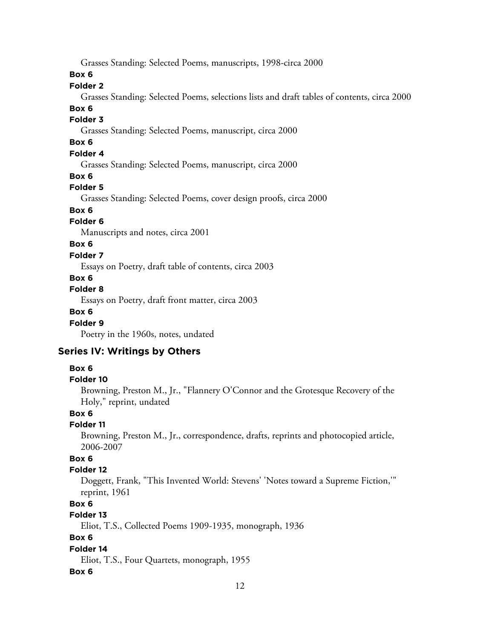Grasses Standing: Selected Poems, manuscripts, 1998-circa 2000

**Box 6**

# **Folder 2**

Grasses Standing: Selected Poems, selections lists and draft tables of contents, circa 2000

#### **Box 6**

## **Folder 3**

Grasses Standing: Selected Poems, manuscript, circa 2000

# **Box 6**

# **Folder 4**

Grasses Standing: Selected Poems, manuscript, circa 2000

#### **Box 6**

## **Folder 5**

Grasses Standing: Selected Poems, cover design proofs, circa 2000

# **Box 6**

## **Folder 6**

Manuscripts and notes, circa 2001

# **Box 6**

#### **Folder 7**

Essays on Poetry, draft table of contents, circa 2003

#### **Box 6**

### **Folder 8**

Essays on Poetry, draft front matter, circa 2003

## **Box 6**

#### **Folder 9**

Poetry in the 1960s, notes, undated

# **Series IV: Writings by Others**

#### **Box 6**

#### **Folder 10**

Browning, Preston M., Jr., "Flannery O'Connor and the Grotesque Recovery of the Holy," reprint, undated

#### **Box 6**

# **Folder 11**

Browning, Preston M., Jr., correspondence, drafts, reprints and photocopied article, 2006-2007

## **Box 6**

## **Folder 12**

Doggett, Frank, "This Invented World: Stevens' 'Notes toward a Supreme Fiction,'" reprint, 1961

# **Box 6**

# **Folder 13**

Eliot, T.S., Collected Poems 1909-1935, monograph, 1936

# **Box 6**

## **Folder 14**

Eliot, T.S., Four Quartets, monograph, 1955

#### **Box 6**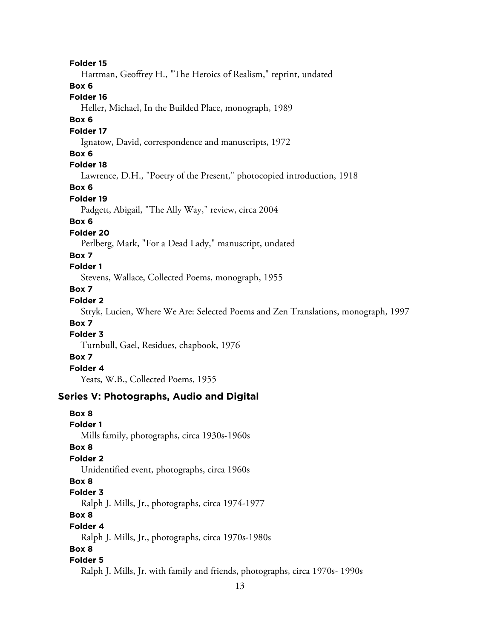**Folder 15**

Hartman, Geoffrey H., "The Heroics of Realism," reprint, undated

## **Box 6**

## **Folder 16**

Heller, Michael, In the Builded Place, monograph, 1989

## **Box 6**

#### **Folder 17**

Ignatow, David, correspondence and manuscripts, 1972

## **Box 6**

# **Folder 18**

Lawrence, D.H., "Poetry of the Present," photocopied introduction, 1918

#### **Box 6**

#### **Folder 19**

Padgett, Abigail, "The Ally Way," review, circa 2004

# **Box 6**

## **Folder 20**

Perlberg, Mark, "For a Dead Lady," manuscript, undated

## **Box 7**

## **Folder 1**

Stevens, Wallace, Collected Poems, monograph, 1955

# **Box 7**

# **Folder 2**

Stryk, Lucien, Where We Are: Selected Poems and Zen Translations, monograph, 1997

#### **Box 7**

## **Folder 3**

Turnbull, Gael, Residues, chapbook, 1976

## **Box 7**

# **Folder 4**

Yeats, W.B., Collected Poems, 1955

# **Series V: Photographs, Audio and Digital**

# **Box 8 Folder 1** Mills family, photographs, circa 1930s-1960s **Box 8 Folder 2** Unidentified event, photographs, circa 1960s **Box 8 Folder 3** Ralph J. Mills, Jr., photographs, circa 1974-1977 **Box 8 Folder 4** Ralph J. Mills, Jr., photographs, circa 1970s-1980s **Box 8 Folder 5** Ralph J. Mills, Jr. with family and friends, photographs, circa 1970s- 1990s